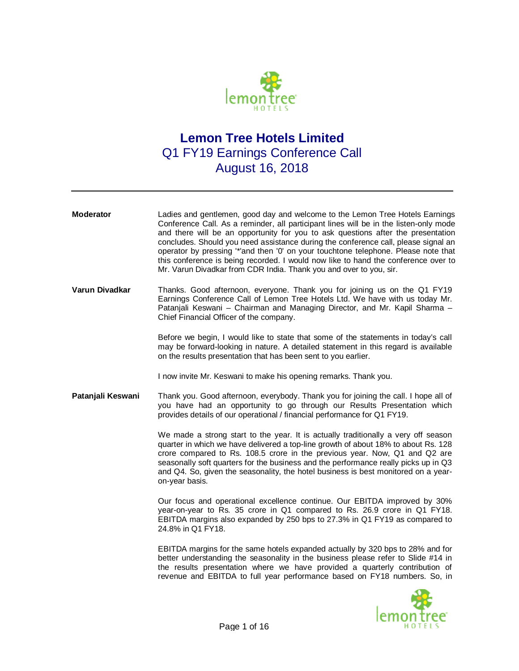

## **Lemon Tree Hotels Limited**  Q1 FY19 Earnings Conference Call August 16, 2018

| <b>Moderator</b>  | Ladies and gentlemen, good day and welcome to the Lemon Tree Hotels Earnings<br>Conference Call. As a reminder, all participant lines will be in the listen-only mode<br>and there will be an opportunity for you to ask questions after the presentation<br>concludes. Should you need assistance during the conference call, please signal an<br>operator by pressing "*and then '0' on your touchtone telephone. Please note that<br>this conference is being recorded. I would now like to hand the conference over to<br>Mr. Varun Divadkar from CDR India. Thank you and over to you, sir. |
|-------------------|--------------------------------------------------------------------------------------------------------------------------------------------------------------------------------------------------------------------------------------------------------------------------------------------------------------------------------------------------------------------------------------------------------------------------------------------------------------------------------------------------------------------------------------------------------------------------------------------------|
| Varun Divadkar    | Thanks. Good afternoon, everyone. Thank you for joining us on the Q1 FY19<br>Earnings Conference Call of Lemon Tree Hotels Ltd. We have with us today Mr.<br>Patanjali Keswani - Chairman and Managing Director, and Mr. Kapil Sharma -<br>Chief Financial Officer of the company.                                                                                                                                                                                                                                                                                                               |
|                   | Before we begin, I would like to state that some of the statements in today's call<br>may be forward-looking in nature. A detailed statement in this regard is available<br>on the results presentation that has been sent to you earlier.                                                                                                                                                                                                                                                                                                                                                       |
|                   | I now invite Mr. Keswani to make his opening remarks. Thank you.                                                                                                                                                                                                                                                                                                                                                                                                                                                                                                                                 |
| Patanjali Keswani | Thank you. Good afternoon, everybody. Thank you for joining the call. I hope all of<br>you have had an opportunity to go through our Results Presentation which<br>provides details of our operational / financial performance for Q1 FY19.                                                                                                                                                                                                                                                                                                                                                      |
|                   | We made a strong start to the year. It is actually traditionally a very off season<br>quarter in which we have delivered a top-line growth of about 18% to about Rs. 128<br>crore compared to Rs. 108.5 crore in the previous year. Now, Q1 and Q2 are<br>seasonally soft quarters for the business and the performance really picks up in Q3<br>and Q4. So, given the seasonality, the hotel business is best monitored on a year-<br>on-year basis.                                                                                                                                            |
|                   | Our focus and operational excellence continue. Our EBITDA improved by 30%<br>year-on-year to Rs. 35 crore in Q1 compared to Rs. 26.9 crore in Q1 FY18.<br>EBITDA margins also expanded by 250 bps to 27.3% in Q1 FY19 as compared to<br>24.8% in Q1 FY18.                                                                                                                                                                                                                                                                                                                                        |
|                   | EBITDA margins for the same hotels expanded actually by 320 bps to 28% and for<br>better understanding the seasonality in the business please refer to Slide #14 in<br>the results presentation where we have provided a quarterly contribution of<br>revenue and EBITDA to full year performance based on FY18 numbers. So, in                                                                                                                                                                                                                                                                  |

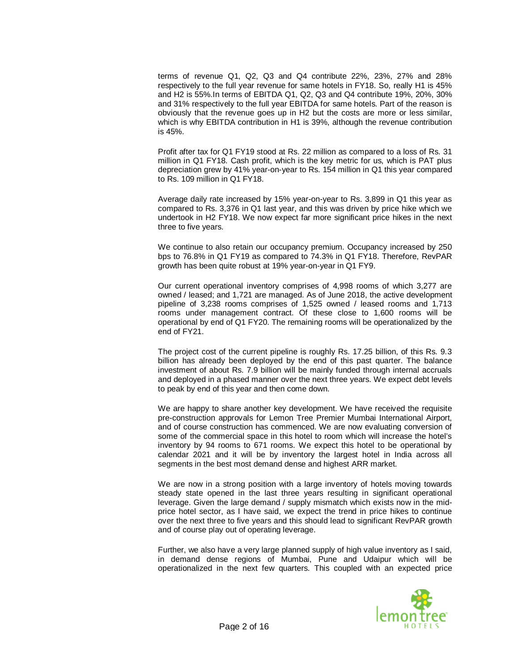terms of revenue Q1, Q2, Q3 and Q4 contribute 22%, 23%, 27% and 28% respectively to the full year revenue for same hotels in FY18. So, really H1 is 45% and H2 is 55%.In terms of EBITDA Q1, Q2, Q3 and Q4 contribute 19%, 20%, 30% and 31% respectively to the full year EBITDA for same hotels. Part of the reason is obviously that the revenue goes up in H2 but the costs are more or less similar, which is why EBITDA contribution in H1 is 39%, although the revenue contribution is 45%.

Profit after tax for Q1 FY19 stood at Rs. 22 million as compared to a loss of Rs. 31 million in Q1 FY18. Cash profit, which is the key metric for us, which is PAT plus depreciation grew by 41% year-on-year to Rs. 154 million in Q1 this year compared to Rs. 109 million in Q1 FY18.

Average daily rate increased by 15% year-on-year to Rs. 3,899 in Q1 this year as compared to Rs. 3,376 in Q1 last year, and this was driven by price hike which we undertook in H2 FY18. We now expect far more significant price hikes in the next three to five years.

We continue to also retain our occupancy premium. Occupancy increased by 250 bps to 76.8% in Q1 FY19 as compared to 74.3% in Q1 FY18. Therefore, RevPAR growth has been quite robust at 19% year-on-year in Q1 FY9.

Our current operational inventory comprises of 4,998 rooms of which 3,277 are owned / leased; and 1,721 are managed. As of June 2018, the active development pipeline of 3,238 rooms comprises of 1,525 owned / leased rooms and 1,713 rooms under management contract. Of these close to 1,600 rooms will be operational by end of Q1 FY20. The remaining rooms will be operationalized by the end of FY21.

The project cost of the current pipeline is roughly Rs. 17.25 billion, of this Rs. 9.3 billion has already been deployed by the end of this past quarter. The balance investment of about Rs. 7.9 billion will be mainly funded through internal accruals and deployed in a phased manner over the next three years. We expect debt levels to peak by end of this year and then come down.

We are happy to share another key development. We have received the requisite pre-construction approvals for Lemon Tree Premier Mumbai International Airport, and of course construction has commenced. We are now evaluating conversion of some of the commercial space in this hotel to room which will increase the hotel's inventory by 94 rooms to 671 rooms. We expect this hotel to be operational by calendar 2021 and it will be by inventory the largest hotel in India across all segments in the best most demand dense and highest ARR market.

We are now in a strong position with a large inventory of hotels moving towards steady state opened in the last three years resulting in significant operational leverage. Given the large demand / supply mismatch which exists now in the midprice hotel sector, as I have said, we expect the trend in price hikes to continue over the next three to five years and this should lead to significant RevPAR growth and of course play out of operating leverage.

Further, we also have a very large planned supply of high value inventory as I said, in demand dense regions of Mumbai, Pune and Udaipur which will be operationalized in the next few quarters. This coupled with an expected price

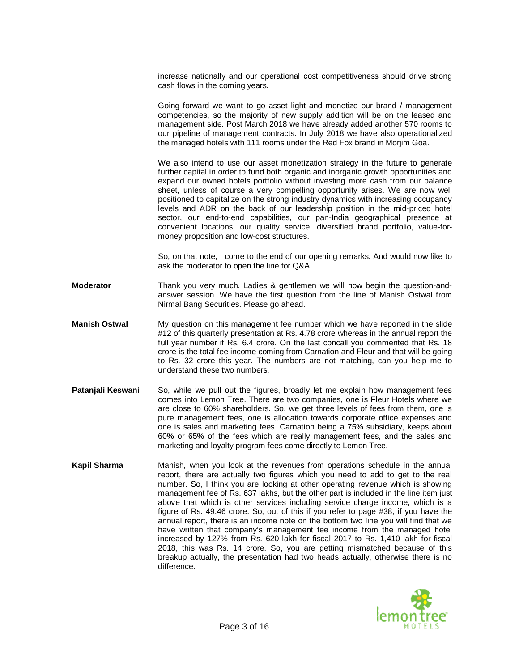increase nationally and our operational cost competitiveness should drive strong cash flows in the coming years.

Going forward we want to go asset light and monetize our brand / management competencies, so the majority of new supply addition will be on the leased and management side. Post March 2018 we have already added another 570 rooms to our pipeline of management contracts. In July 2018 we have also operationalized the managed hotels with 111 rooms under the Red Fox brand in Morjim Goa.

We also intend to use our asset monetization strategy in the future to generate further capital in order to fund both organic and inorganic growth opportunities and expand our owned hotels portfolio without investing more cash from our balance sheet, unless of course a very compelling opportunity arises. We are now well positioned to capitalize on the strong industry dynamics with increasing occupancy levels and ADR on the back of our leadership position in the mid-priced hotel sector, our end-to-end capabilities, our pan-India geographical presence at convenient locations, our quality service, diversified brand portfolio, value-formoney proposition and low-cost structures.

So, on that note, I come to the end of our opening remarks. And would now like to ask the moderator to open the line for Q&A.

- **Moderator** Thank you very much. Ladies & gentlemen we will now begin the question-andanswer session. We have the first question from the line of Manish Ostwal from Nirmal Bang Securities. Please go ahead.
- **Manish Ostwal** My question on this management fee number which we have reported in the slide #12 of this quarterly presentation at Rs. 4.78 crore whereas in the annual report the full year number if Rs. 6.4 crore. On the last concall you commented that Rs. 18 crore is the total fee income coming from Carnation and Fleur and that will be going to Rs. 32 crore this year. The numbers are not matching, can you help me to understand these two numbers.
- **Patanjali Keswani** So, while we pull out the figures, broadly let me explain how management fees comes into Lemon Tree. There are two companies, one is Fleur Hotels where we are close to 60% shareholders. So, we get three levels of fees from them, one is pure management fees, one is allocation towards corporate office expenses and one is sales and marketing fees. Carnation being a 75% subsidiary, keeps about 60% or 65% of the fees which are really management fees, and the sales and marketing and loyalty program fees come directly to Lemon Tree.
- **Kapil Sharma** Manish, when you look at the revenues from operations schedule in the annual report, there are actually two figures which you need to add to get to the real number. So, I think you are looking at other operating revenue which is showing management fee of Rs. 637 lakhs, but the other part is included in the line item just above that which is other services including service charge income, which is a figure of Rs. 49.46 crore. So, out of this if you refer to page #38, if you have the annual report, there is an income note on the bottom two line you will find that we have written that company's management fee income from the managed hotel increased by 127% from Rs. 620 lakh for fiscal 2017 to Rs. 1,410 lakh for fiscal 2018, this was Rs. 14 crore. So, you are getting mismatched because of this breakup actually, the presentation had two heads actually, otherwise there is no difference.

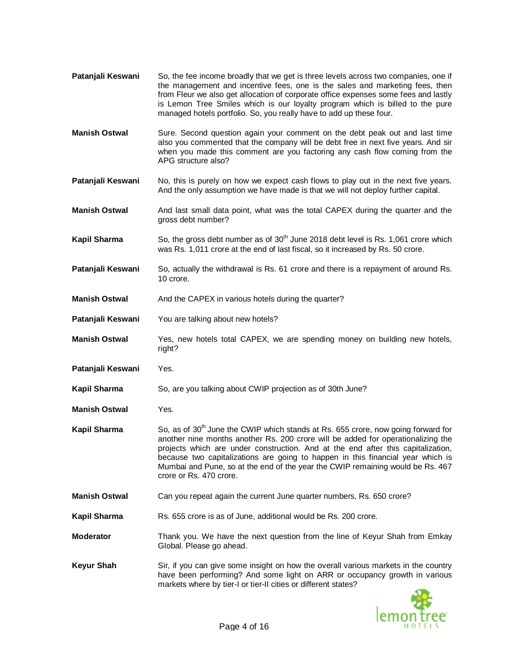- **Patanjali Keswani** So, the fee income broadly that we get is three levels across two companies, one if the management and incentive fees, one is the sales and marketing fees, then from Fleur we also get allocation of corporate office expenses some fees and lastly is Lemon Tree Smiles which is our loyalty program which is billed to the pure managed hotels portfolio. So, you really have to add up these four.
- **Manish Ostwal** Sure. Second question again your comment on the debt peak out and last time also you commented that the company will be debt free in next five years. And sir when you made this comment are you factoring any cash flow coming from the APG structure also?
- **Patanjali Keswani** No, this is purely on how we expect cash flows to play out in the next five years. And the only assumption we have made is that we will not deploy further capital.
- **Manish Ostwal** And last small data point, what was the total CAPEX during the quarter and the gross debt number?
- **Kapil Sharma** So, the gross debt number as of 30<sup>th</sup> June 2018 debt level is Rs. 1,061 crore which was Rs. 1,011 crore at the end of last fiscal, so it increased by Rs. 50 crore.
- **Patanjali Keswani** So, actually the withdrawal is Rs. 61 crore and there is a repayment of around Rs. 10 crore.
- **Manish Ostwal** And the CAPEX in various hotels during the quarter?
- **Patanjali Keswani** You are talking about new hotels?
- **Manish Ostwal** Yes, new hotels total CAPEX, we are spending money on building new hotels, right?
- **Patanjali Keswani** Yes.
- **Kapil Sharma** So, are you talking about CWIP projection as of 30th June?
- **Manish Ostwal** Yes.
- **Kapil Sharma** So, as of 30<sup>th</sup> June the CWIP which stands at Rs. 655 crore, now going forward for another nine months another Rs. 200 crore will be added for operationalizing the projects which are under construction. And at the end after this capitalization, because two capitalizations are going to happen in this financial year which is Mumbai and Pune, so at the end of the year the CWIP remaining would be Rs. 467 crore or Rs. 470 crore.
- **Manish Ostwal** Can you repeat again the current June quarter numbers, Rs. 650 crore?
- **Kapil Sharma** Rs. 655 crore is as of June, additional would be Rs. 200 crore.
- **Moderator** Thank you. We have the next question from the line of Keyur Shah from Emkay Global. Please go ahead.
- **Keyur Shah** Sir, if you can give some insight on how the overall various markets in the country have been performing? And some light on ARR or occupancy growth in various markets where by tier-I or tier-II cities or different states?

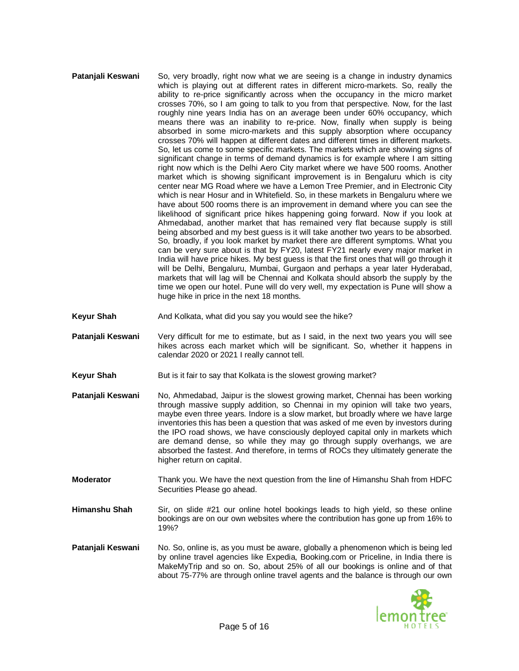- **Patanjali Keswani** So, very broadly, right now what we are seeing is a change in industry dynamics which is playing out at different rates in different micro-markets. So, really the ability to re-price significantly across when the occupancy in the micro market crosses 70%, so I am going to talk to you from that perspective. Now, for the last roughly nine years India has on an average been under 60% occupancy, which means there was an inability to re-price. Now, finally when supply is being absorbed in some micro-markets and this supply absorption where occupancy crosses 70% will happen at different dates and different times in different markets. So, let us come to some specific markets. The markets which are showing signs of significant change in terms of demand dynamics is for example where I am sitting right now which is the Delhi Aero City market where we have 500 rooms. Another market which is showing significant improvement is in Bengaluru which is city center near MG Road where we have a Lemon Tree Premier, and in Electronic City which is near Hosur and in Whitefield. So, in these markets in Bengaluru where we have about 500 rooms there is an improvement in demand where you can see the likelihood of significant price hikes happening going forward. Now if you look at Ahmedabad, another market that has remained very flat because supply is still being absorbed and my best guess is it will take another two years to be absorbed. So, broadly, if you look market by market there are different symptoms. What you can be very sure about is that by FY20, latest FY21 nearly every major market in India will have price hikes. My best guess is that the first ones that will go through it will be Delhi, Bengaluru, Mumbai, Gurgaon and perhaps a year later Hyderabad, markets that will lag will be Chennai and Kolkata should absorb the supply by the time we open our hotel. Pune will do very well, my expectation is Pune will show a huge hike in price in the next 18 months.
	- Keyur Shah And Kolkata, what did you say you would see the hike?
	- **Patanjali Keswani** Very difficult for me to estimate, but as I said, in the next two years you will see hikes across each market which will be significant. So, whether it happens in calendar 2020 or 2021 I really cannot tell.
	- **Keyur Shah** But is it fair to say that Kolkata is the slowest growing market?
	- **Patanjali Keswani** No, Ahmedabad, Jaipur is the slowest growing market, Chennai has been working through massive supply addition, so Chennai in my opinion will take two years, maybe even three years. Indore is a slow market, but broadly where we have large inventories this has been a question that was asked of me even by investors during the IPO road shows, we have consciously deployed capital only in markets which are demand dense, so while they may go through supply overhangs, we are absorbed the fastest. And therefore, in terms of ROCs they ultimately generate the higher return on capital.
	- **Moderator** Thank you. We have the next question from the line of Himanshu Shah from HDFC Securities Please go ahead.
- **Himanshu Shah** Sir, on slide #21 our online hotel bookings leads to high yield, so these online bookings are on our own websites where the contribution has gone up from 16% to 19%?
- **Patanjali Keswani** No. So, online is, as you must be aware, globally a phenomenon which is being led by online travel agencies like Expedia, Booking.com or Priceline, in India there is MakeMyTrip and so on. So, about 25% of all our bookings is online and of that about 75-77% are through online travel agents and the balance is through our own

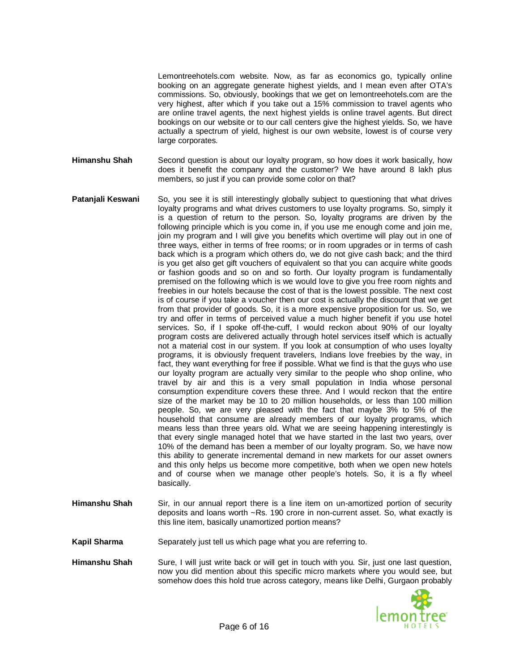Lemontreehotels.com website. Now, as far as economics go, typically online booking on an aggregate generate highest yields, and I mean even after OTA's commissions. So, obviously, bookings that we get on lemontreehotels.com are the very highest, after which if you take out a 15% commission to travel agents who are online travel agents, the next highest yields is online travel agents. But direct bookings on our website or to our call centers give the highest yields. So, we have actually a spectrum of yield, highest is our own website, lowest is of course very large corporates.

**Himanshu Shah** Second question is about our loyalty program, so how does it work basically, how does it benefit the company and the customer? We have around 8 lakh plus members, so just if you can provide some color on that?

- **Patanjali Keswani** So, you see it is still interestingly globally subject to questioning that what drives loyalty programs and what drives customers to use loyalty programs. So, simply it is a question of return to the person. So, loyalty programs are driven by the following principle which is you come in, if you use me enough come and join me, join my program and I will give you benefits which overtime will play out in one of three ways, either in terms of free rooms; or in room upgrades or in terms of cash back which is a program which others do, we do not give cash back; and the third is you get also get gift vouchers of equivalent so that you can acquire white goods or fashion goods and so on and so forth. Our loyalty program is fundamentally premised on the following which is we would love to give you free room nights and freebies in our hotels because the cost of that is the lowest possible. The next cost is of course if you take a voucher then our cost is actually the discount that we get from that provider of goods. So, it is a more expensive proposition for us. So, we try and offer in terms of perceived value a much higher benefit if you use hotel services. So, if I spoke off-the-cuff, I would reckon about 90% of our loyalty program costs are delivered actually through hotel services itself which is actually not a material cost in our system. If you look at consumption of who uses loyalty programs, it is obviously frequent travelers, Indians love freebies by the way, in fact, they want everything for free if possible. What we find is that the guys who use our loyalty program are actually very similar to the people who shop online, who travel by air and this is a very small population in India whose personal consumption expenditure covers these three. And I would reckon that the entire size of the market may be 10 to 20 million households, or less than 100 million people. So, we are very pleased with the fact that maybe 3% to 5% of the household that consume are already members of our loyalty programs, which means less than three years old. What we are seeing happening interestingly is that every single managed hotel that we have started in the last two years, over 10% of the demand has been a member of our loyalty program. So, we have now this ability to generate incremental demand in new markets for our asset owners and this only helps us become more competitive, both when we open new hotels and of course when we manage other people's hotels. So, it is a fly wheel basically.
- **Himanshu Shah** Sir, in our annual report there is a line item on un-amortized portion of security deposits and loans worth ~Rs. 190 crore in non-current asset. So, what exactly is this line item, basically unamortized portion means?

**Kapil Sharma** Separately just tell us which page what you are referring to.

**Himanshu Shah** Sure, I will just write back or will get in touch with you. Sir, just one last question, now you did mention about this specific micro markets where you would see, but somehow does this hold true across category, means like Delhi, Gurgaon probably

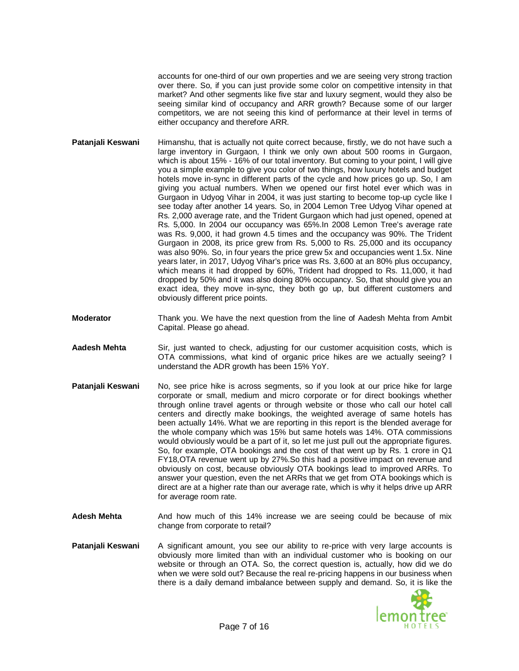accounts for one-third of our own properties and we are seeing very strong traction over there. So, if you can just provide some color on competitive intensity in that market? And other segments like five star and luxury segment, would they also be seeing similar kind of occupancy and ARR growth? Because some of our larger competitors, we are not seeing this kind of performance at their level in terms of either occupancy and therefore ARR.

- **Patanjali Keswani** Himanshu, that is actually not quite correct because, firstly, we do not have such a large inventory in Gurgaon, I think we only own about 500 rooms in Gurgaon, which is about 15% - 16% of our total inventory. But coming to your point, I will give you a simple example to give you color of two things, how luxury hotels and budget hotels move in-sync in different parts of the cycle and how prices go up. So, I am giving you actual numbers. When we opened our first hotel ever which was in Gurgaon in Udyog Vihar in 2004, it was just starting to become top-up cycle like I see today after another 14 years. So, in 2004 Lemon Tree Udyog Vihar opened at Rs. 2,000 average rate, and the Trident Gurgaon which had just opened, opened at Rs. 5,000. In 2004 our occupancy was 65%.In 2008 Lemon Tree's average rate was Rs. 9,000, it had grown 4.5 times and the occupancy was 90%. The Trident Gurgaon in 2008, its price grew from Rs. 5,000 to Rs. 25,000 and its occupancy was also 90%. So, in four years the price grew 5x and occupancies went 1.5x. Nine years later, in 2017, Udyog Vihar's price was Rs. 3,600 at an 80% plus occupancy, which means it had dropped by 60%, Trident had dropped to Rs. 11,000, it had dropped by 50% and it was also doing 80% occupancy. So, that should give you an exact idea, they move in-sync, they both go up, but different customers and obviously different price points.
- **Moderator** Thank you. We have the next question from the line of Aadesh Mehta from Ambit Capital. Please go ahead.
- **Aadesh Mehta** Sir, just wanted to check, adjusting for our customer acquisition costs, which is OTA commissions, what kind of organic price hikes are we actually seeing? I understand the ADR growth has been 15% YoY.
- **Patanjali Keswani** No, see price hike is across segments, so if you look at our price hike for large corporate or small, medium and micro corporate or for direct bookings whether through online travel agents or through website or those who call our hotel call centers and directly make bookings, the weighted average of same hotels has been actually 14%. What we are reporting in this report is the blended average for the whole company which was 15% but same hotels was 14%. OTA commissions would obviously would be a part of it, so let me just pull out the appropriate figures. So, for example, OTA bookings and the cost of that went up by Rs. 1 crore in Q1 FY18,OTA revenue went up by 27%.So this had a positive impact on revenue and obviously on cost, because obviously OTA bookings lead to improved ARRs. To answer your question, even the net ARRs that we get from OTA bookings which is direct are at a higher rate than our average rate, which is why it helps drive up ARR for average room rate.
- **Adesh Mehta** And how much of this 14% increase we are seeing could be because of mix change from corporate to retail?
- **Patanjali Keswani** A significant amount, you see our ability to re-price with very large accounts is obviously more limited than with an individual customer who is booking on our website or through an OTA. So, the correct question is, actually, how did we do when we were sold out? Because the real re-pricing happens in our business when there is a daily demand imbalance between supply and demand. So, it is like the

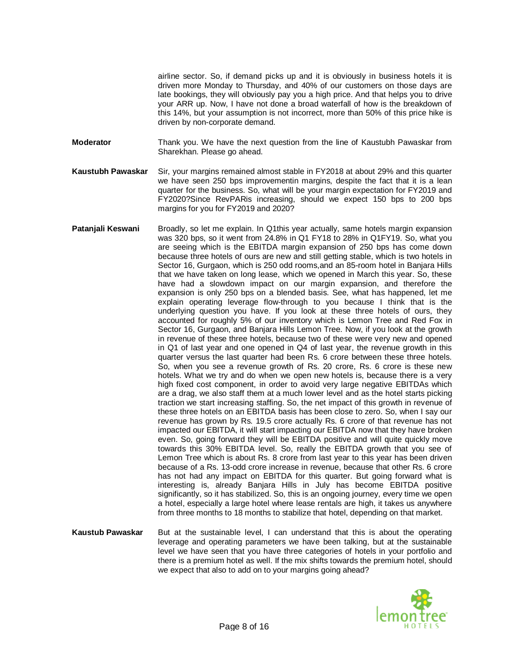airline sector. So, if demand picks up and it is obviously in business hotels it is driven more Monday to Thursday, and 40% of our customers on those days are late bookings, they will obviously pay you a high price. And that helps you to drive your ARR up. Now, I have not done a broad waterfall of how is the breakdown of this 14%, but your assumption is not incorrect, more than 50% of this price hike is driven by non-corporate demand.

- **Moderator** Thank you. We have the next question from the line of Kaustubh Pawaskar from Sharekhan. Please go ahead.
- **Kaustubh Pawaskar** Sir, your margins remained almost stable in FY2018 at about 29% and this quarter we have seen 250 bps improvementin margins, despite the fact that it is a lean quarter for the business. So, what will be your margin expectation for FY2019 and FY2020?Since RevPARis increasing, should we expect 150 bps to 200 bps margins for you for FY2019 and 2020?
- Patanjali Keswani Broadly, so let me explain. In Q1this year actually, same hotels margin expansion was 320 bps, so it went from 24.8% in Q1 FY18 to 28% in Q1FY19. So, what you are seeing which is the EBITDA margin expansion of 250 bps has come down because three hotels of ours are new and still getting stable, which is two hotels in Sector 16, Gurgaon, which is 250 odd rooms,and an 85-room hotel in Banjara Hills that we have taken on long lease, which we opened in March this year. So, these have had a slowdown impact on our margin expansion, and therefore the expansion is only 250 bps on a blended basis. See, what has happened, let me explain operating leverage flow-through to you because I think that is the underlying question you have. If you look at these three hotels of ours, they accounted for roughly 5% of our inventory which is Lemon Tree and Red Fox in Sector 16, Gurgaon, and Banjara Hills Lemon Tree. Now, if you look at the growth in revenue of these three hotels, because two of these were very new and opened in Q1 of last year and one opened in Q4 of last year, the revenue growth in this quarter versus the last quarter had been Rs. 6 crore between these three hotels. So, when you see a revenue growth of Rs. 20 crore, Rs. 6 crore is these new hotels. What we try and do when we open new hotels is, because there is a very high fixed cost component, in order to avoid very large negative EBITDAs which are a drag, we also staff them at a much lower level and as the hotel starts picking traction we start increasing staffing. So, the net impact of this growth in revenue of these three hotels on an EBITDA basis has been close to zero. So, when I say our revenue has grown by Rs. 19.5 crore actually Rs. 6 crore of that revenue has not impacted our EBITDA, it will start impacting our EBITDA now that they have broken even. So, going forward they will be EBITDA positive and will quite quickly move towards this 30% EBITDA level. So, really the EBITDA growth that you see of Lemon Tree which is about Rs. 8 crore from last year to this year has been driven because of a Rs. 13-odd crore increase in revenue, because that other Rs. 6 crore has not had any impact on EBITDA for this quarter. But going forward what is interesting is, already Banjara Hills in July has become EBITDA positive significantly, so it has stabilized. So, this is an ongoing journey, every time we open a hotel, especially a large hotel where lease rentals are high, it takes us anywhere from three months to 18 months to stabilize that hotel, depending on that market.
- Kaustub Pawaskar But at the sustainable level, I can understand that this is about the operating leverage and operating parameters we have been talking, but at the sustainable level we have seen that you have three categories of hotels in your portfolio and there is a premium hotel as well. If the mix shifts towards the premium hotel, should we expect that also to add on to your margins going ahead?

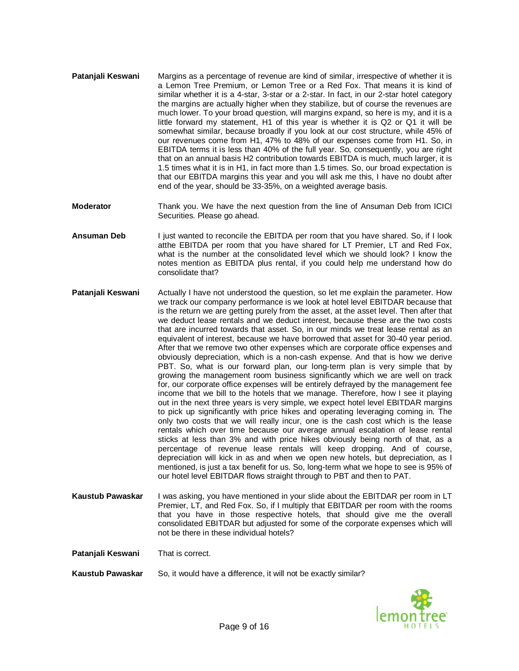- **Patanjali Keswani** Margins as a percentage of revenue are kind of similar, irrespective of whether it is a Lemon Tree Premium, or Lemon Tree or a Red Fox. That means it is kind of similar whether it is a 4-star, 3-star or a 2-star. In fact, in our 2-star hotel category the margins are actually higher when they stabilize, but of course the revenues are much lower. To your broad question, will margins expand, so here is my, and it is a little forward my statement, H1 of this year is whether it is Q2 or Q1 it will be somewhat similar, because broadly if you look at our cost structure, while 45% of our revenues come from H1, 47% to 48% of our expenses come from H1. So, in EBITDA terms it is less than 40% of the full year. So, consequently, you are right that on an annual basis H2 contribution towards EBITDA is much, much larger, it is 1.5 times what it is in H1, in fact more than 1.5 times. So, our broad expectation is that our EBITDA margins this year and you will ask me this, I have no doubt after end of the year, should be 33-35%, on a weighted average basis.
- **Moderator** Thank you. We have the next question from the line of Ansuman Deb from ICICI Securities. Please go ahead.
- **Ansuman Deb** I just wanted to reconcile the EBITDA per room that you have shared. So, if I look atthe EBITDA per room that you have shared for LT Premier, LT and Red Fox, what is the number at the consolidated level which we should look? I know the notes mention as EBITDA plus rental, if you could help me understand how do consolidate that?
- **Patanjali Keswani** Actually I have not understood the question, so let me explain the parameter. How we track our company performance is we look at hotel level EBITDAR because that is the return we are getting purely from the asset, at the asset level. Then after that we deduct lease rentals and we deduct interest, because these are the two costs that are incurred towards that asset. So, in our minds we treat lease rental as an equivalent of interest, because we have borrowed that asset for 30-40 year period. After that we remove two other expenses which are corporate office expenses and obviously depreciation, which is a non-cash expense. And that is how we derive PBT. So, what is our forward plan, our long-term plan is very simple that by growing the management room business significantly which we are well on track for, our corporate office expenses will be entirely defrayed by the management fee income that we bill to the hotels that we manage. Therefore, how I see it playing out in the next three years is very simple, we expect hotel level EBITDAR margins to pick up significantly with price hikes and operating leveraging coming in. The only two costs that we will really incur, one is the cash cost which is the lease rentals which over time because our average annual escalation of lease rental sticks at less than 3% and with price hikes obviously being north of that, as a percentage of revenue lease rentals will keep dropping. And of course, depreciation will kick in as and when we open new hotels, but depreciation, as I mentioned, is just a tax benefit for us. So, long-term what we hope to see is 95% of our hotel level EBITDAR flows straight through to PBT and then to PAT.
- **Kaustub Pawaskar** I was asking, you have mentioned in your slide about the EBITDAR per room in LT Premier, LT, and Red Fox. So, if I multiply that EBITDAR per room with the rooms that you have in those respective hotels, that should give me the overall consolidated EBITDAR but adjusted for some of the corporate expenses which will not be there in these individual hotels?

**Patanjali Keswani** That is correct.

Kaustub Pawaskar So, it would have a difference, it will not be exactly similar?

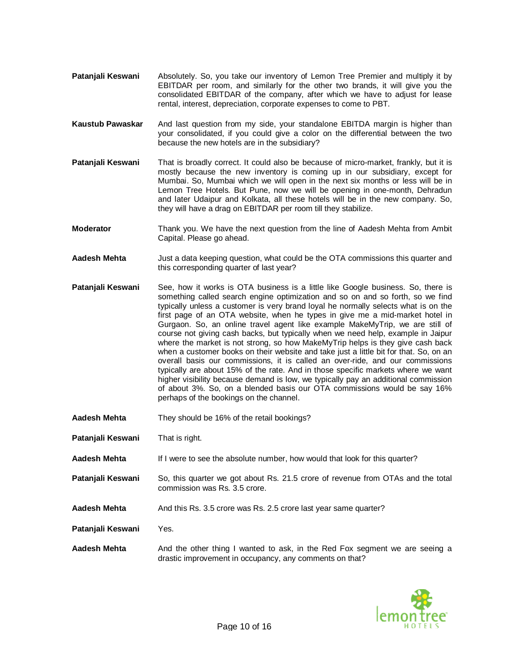- **Patanjali Keswani** Absolutely. So, you take our inventory of Lemon Tree Premier and multiply it by EBITDAR per room, and similarly for the other two brands, it will give you the consolidated EBITDAR of the company, after which we have to adjust for lease rental, interest, depreciation, corporate expenses to come to PBT.
- **Kaustub Pawaskar** And last question from my side, your standalone EBITDA margin is higher than your consolidated, if you could give a color on the differential between the two because the new hotels are in the subsidiary?
- **Patanjali Keswani** That is broadly correct. It could also be because of micro-market, frankly, but it is mostly because the new inventory is coming up in our subsidiary, except for Mumbai. So, Mumbai which we will open in the next six months or less will be in Lemon Tree Hotels. But Pune, now we will be opening in one-month, Dehradun and later Udaipur and Kolkata, all these hotels will be in the new company. So, they will have a drag on EBITDAR per room till they stabilize.
- **Moderator** Thank you. We have the next question from the line of Aadesh Mehta from Ambit Capital. Please go ahead.
- **Aadesh Mehta** Just a data keeping question, what could be the OTA commissions this quarter and this corresponding quarter of last year?
- **Patanjali Keswani** See, how it works is OTA business is a little like Google business. So, there is something called search engine optimization and so on and so forth, so we find typically unless a customer is very brand loyal he normally selects what is on the first page of an OTA website, when he types in give me a mid-market hotel in Gurgaon. So, an online travel agent like example MakeMyTrip, we are still of course not giving cash backs, but typically when we need help, example in Jaipur where the market is not strong, so how MakeMyTrip helps is they give cash back when a customer books on their website and take just a little bit for that. So, on an overall basis our commissions, it is called an over-ride, and our commissions typically are about 15% of the rate. And in those specific markets where we want higher visibility because demand is low, we typically pay an additional commission of about 3%. So, on a blended basis our OTA commissions would be say 16% perhaps of the bookings on the channel.
- **Aadesh Mehta** They should be 16% of the retail bookings?
- **Patanjali Keswani** That is right.
- **Aadesh Mehta** If I were to see the absolute number, how would that look for this quarter?
- **Patanjali Keswani** So, this quarter we got about Rs. 21.5 crore of revenue from OTAs and the total commission was Rs. 3.5 crore.
- **Aadesh Mehta** And this Rs. 3.5 crore was Rs. 2.5 crore last year same quarter?
- **Patanjali Keswani** Yes.
- **Aadesh Mehta** And the other thing I wanted to ask, in the Red Fox segment we are seeing a drastic improvement in occupancy, any comments on that?

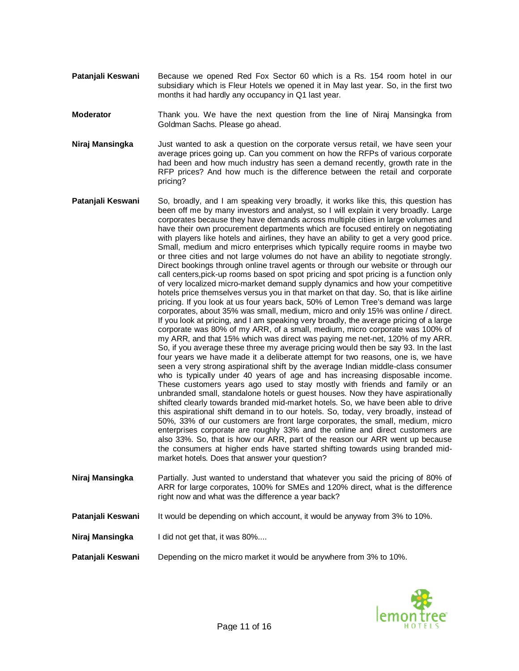- **Patanjali Keswani** Because we opened Red Fox Sector 60 which is a Rs. 154 room hotel in our subsidiary which is Fleur Hotels we opened it in May last year. So, in the first two months it had hardly any occupancy in Q1 last year.
- **Moderator** Thank you. We have the next question from the line of Niraj Mansingka from Goldman Sachs. Please go ahead.
- **Niraj Mansingka** Just wanted to ask a question on the corporate versus retail, we have seen your average prices going up. Can you comment on how the RFPs of various corporate had been and how much industry has seen a demand recently, growth rate in the RFP prices? And how much is the difference between the retail and corporate pricing?
- **Patanjali Keswani** So, broadly, and I am speaking very broadly, it works like this, this question has been off me by many investors and analyst, so I will explain it very broadly. Large corporates because they have demands across multiple cities in large volumes and have their own procurement departments which are focused entirely on negotiating with players like hotels and airlines, they have an ability to get a very good price. Small, medium and micro enterprises which typically require rooms in maybe two or three cities and not large volumes do not have an ability to negotiate strongly. Direct bookings through online travel agents or through our website or through our call centers,pick-up rooms based on spot pricing and spot pricing is a function only of very localized micro-market demand supply dynamics and how your competitive hotels price themselves versus you in that market on that day. So, that is like airline pricing. If you look at us four years back, 50% of Lemon Tree's demand was large corporates, about 35% was small, medium, micro and only 15% was online / direct. If you look at pricing, and I am speaking very broadly, the average pricing of a large corporate was 80% of my ARR, of a small, medium, micro corporate was 100% of my ARR, and that 15% which was direct was paying me net-net, 120% of my ARR. So, if you average these three my average pricing would then be say 93. In the last four years we have made it a deliberate attempt for two reasons, one is, we have seen a very strong aspirational shift by the average Indian middle-class consumer who is typically under 40 years of age and has increasing disposable income. These customers years ago used to stay mostly with friends and family or an unbranded small, standalone hotels or guest houses. Now they have aspirationally shifted clearly towards branded mid-market hotels. So, we have been able to drive this aspirational shift demand in to our hotels. So, today, very broadly, instead of 50%, 33% of our customers are front large corporates, the small, medium, micro enterprises corporate are roughly 33% and the online and direct customers are also 33%. So, that is how our ARR, part of the reason our ARR went up because the consumers at higher ends have started shifting towards using branded midmarket hotels. Does that answer your question?
- **Niraj Mansingka** Partially. Just wanted to understand that whatever you said the pricing of 80% of ARR for large corporates, 100% for SMEs and 120% direct, what is the difference right now and what was the difference a year back?
- **Patanjali Keswani** It would be depending on which account, it would be anyway from 3% to 10%.
- **Niraj Mansingka** I did not get that, it was 80%....
- **Patanjali Keswani** Depending on the micro market it would be anywhere from 3% to 10%.

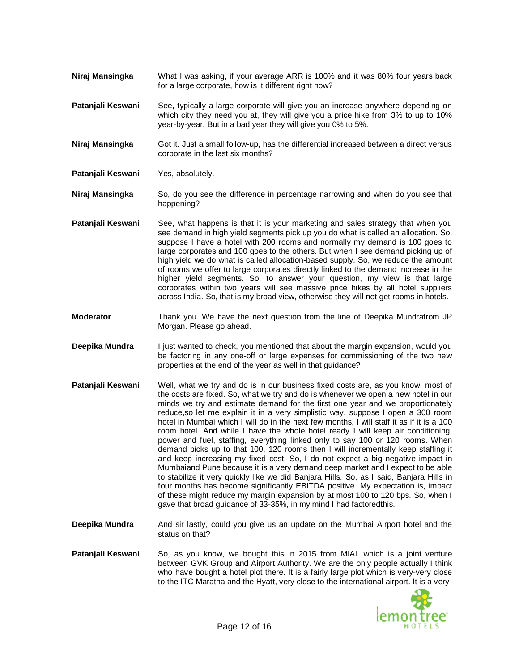- **Niraj Mansingka** What I was asking, if your average ARR is 100% and it was 80% four years back for a large corporate, how is it different right now?
- **Patanjali Keswani** See, typically a large corporate will give you an increase anywhere depending on which city they need you at, they will give you a price hike from 3% to up to 10% year-by-year. But in a bad year they will give you 0% to 5%.
- **Niraj Mansingka** Got it. Just a small follow-up, has the differential increased between a direct versus corporate in the last six months?
- **Patanjali Keswani** Yes, absolutely.
- **Niraj Mansingka** So, do you see the difference in percentage narrowing and when do you see that happening?
- **Patanjali Keswani** See, what happens is that it is your marketing and sales strategy that when you see demand in high yield segments pick up you do what is called an allocation. So, suppose I have a hotel with 200 rooms and normally my demand is 100 goes to large corporates and 100 goes to the others. But when I see demand picking up of high yield we do what is called allocation-based supply. So, we reduce the amount of rooms we offer to large corporates directly linked to the demand increase in the higher yield segments. So, to answer your question, my view is that large corporates within two years will see massive price hikes by all hotel suppliers across India. So, that is my broad view, otherwise they will not get rooms in hotels.
- **Moderator** Thank you. We have the next question from the line of Deepika Mundrafrom JP Morgan. Please go ahead.
- **Deepika Mundra** I just wanted to check, you mentioned that about the margin expansion, would you be factoring in any one-off or large expenses for commissioning of the two new properties at the end of the year as well in that guidance?
- **Patanjali Keswani** Well, what we try and do is in our business fixed costs are, as you know, most of the costs are fixed. So, what we try and do is whenever we open a new hotel in our minds we try and estimate demand for the first one year and we proportionately reduce,so let me explain it in a very simplistic way, suppose I open a 300 room hotel in Mumbai which I will do in the next few months, I will staff it as if it is a 100 room hotel. And while I have the whole hotel ready I will keep air conditioning, power and fuel, staffing, everything linked only to say 100 or 120 rooms. When demand picks up to that 100, 120 rooms then I will incrementally keep staffing it and keep increasing my fixed cost. So, I do not expect a big negative impact in Mumbaiand Pune because it is a very demand deep market and I expect to be able to stabilize it very quickly like we did Banjara Hills. So, as I said, Banjara Hills in four months has become significantly EBITDA positive. My expectation is, impact of these might reduce my margin expansion by at most 100 to 120 bps. So, when I gave that broad guidance of 33-35%, in my mind I had factoredthis.
- **Deepika Mundra** And sir lastly, could you give us an update on the Mumbai Airport hotel and the status on that?
- **Patanjali Keswani** So, as you know, we bought this in 2015 from MIAL which is a joint venture between GVK Group and Airport Authority. We are the only people actually I think who have bought a hotel plot there. It is a fairly large plot which is very-very close to the ITC Maratha and the Hyatt, very close to the international airport. It is a very-

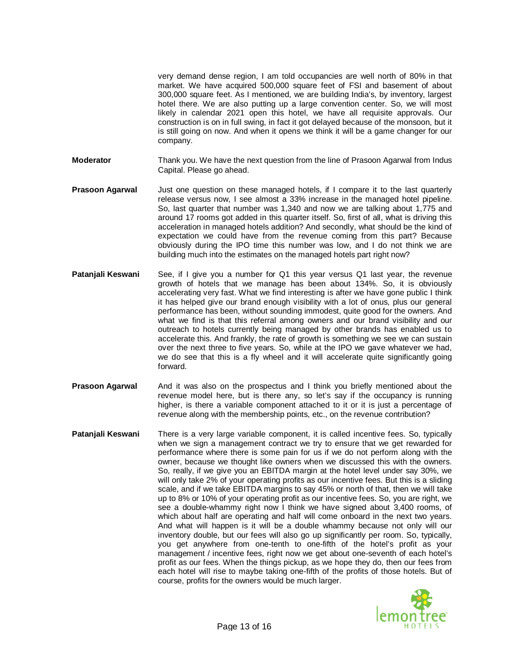very demand dense region, I am told occupancies are well north of 80% in that market. We have acquired 500,000 square feet of FSI and basement of about 300,000 square feet. As I mentioned, we are building India's, by inventory, largest hotel there. We are also putting up a large convention center. So, we will most likely in calendar 2021 open this hotel, we have all requisite approvals. Our construction is on in full swing, in fact it got delayed because of the monsoon, but it is still going on now. And when it opens we think it will be a game changer for our company.

- **Moderator** Thank you. We have the next question from the line of Prasoon Agarwal from Indus Capital. Please go ahead.
- **Prasoon Agarwal** Just one question on these managed hotels, if I compare it to the last quarterly release versus now, I see almost a 33% increase in the managed hotel pipeline. So, last quarter that number was 1,340 and now we are talking about 1,775 and around 17 rooms got added in this quarter itself. So, first of all, what is driving this acceleration in managed hotels addition? And secondly, what should be the kind of expectation we could have from the revenue coming from this part? Because obviously during the IPO time this number was low, and I do not think we are building much into the estimates on the managed hotels part right now?
- **Patanjali Keswani** See, if I give you a number for Q1 this year versus Q1 last year, the revenue growth of hotels that we manage has been about 134%. So, it is obviously accelerating very fast. What we find interesting is after we have gone public I think it has helped give our brand enough visibility with a lot of onus, plus our general performance has been, without sounding immodest, quite good for the owners. And what we find is that this referral among owners and our brand visibility and our outreach to hotels currently being managed by other brands has enabled us to accelerate this. And frankly, the rate of growth is something we see we can sustain over the next three to five years. So, while at the IPO we gave whatever we had, we do see that this is a fly wheel and it will accelerate quite significantly going forward.
- **Prasoon Agarwal** And it was also on the prospectus and I think you briefly mentioned about the revenue model here, but is there any, so let's say if the occupancy is running higher, is there a variable component attached to it or it is just a percentage of revenue along with the membership points, etc., on the revenue contribution?
- **Patanjali Keswani** There is a very large variable component, it is called incentive fees. So, typically when we sign a management contract we try to ensure that we get rewarded for performance where there is some pain for us if we do not perform along with the owner, because we thought like owners when we discussed this with the owners. So, really, if we give you an EBITDA margin at the hotel level under say 30%, we will only take 2% of your operating profits as our incentive fees. But this is a sliding scale, and if we take EBITDA margins to say 45% or north of that, then we will take up to 8% or 10% of your operating profit as our incentive fees. So, you are right, we see a double-whammy right now I think we have signed about 3,400 rooms, of which about half are operating and half will come onboard in the next two years. And what will happen is it will be a double whammy because not only will our inventory double, but our fees will also go up significantly per room. So, typically, you get anywhere from one-tenth to one-fifth of the hotel's profit as your management / incentive fees, right now we get about one-seventh of each hotel's profit as our fees. When the things pickup, as we hope they do, then our fees from each hotel will rise to maybe taking one-fifth of the profits of those hotels. But of course, profits for the owners would be much larger.

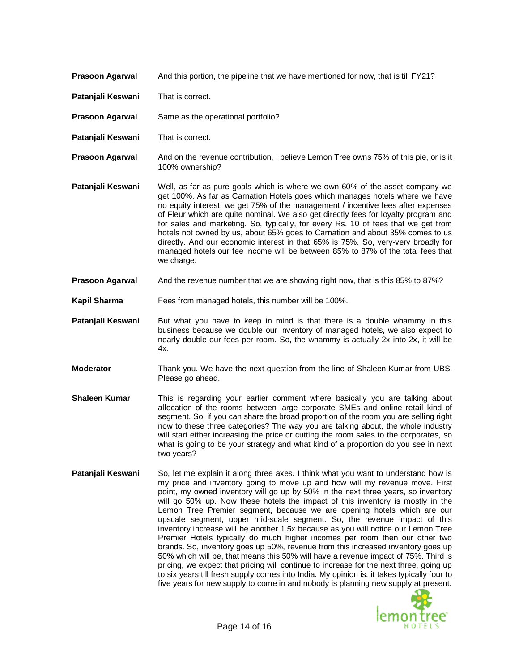- **Prasoon Agarwal** And this portion, the pipeline that we have mentioned for now, that is till FY21?
- **Patanjali Keswani** That is correct.

**Prasoon Agarwal** Same as the operational portfolio?

**Patanjali Keswani** That is correct.

**Prasoon Agarwal** And on the revenue contribution, I believe Lemon Tree owns 75% of this pie, or is it 100% ownership?

- **Patanjali Keswani** Well, as far as pure goals which is where we own 60% of the asset company we get 100%. As far as Carnation Hotels goes which manages hotels where we have no equity interest, we get 75% of the management / incentive fees after expenses of Fleur which are quite nominal. We also get directly fees for loyalty program and for sales and marketing. So, typically, for every Rs. 10 of fees that we get from hotels not owned by us, about 65% goes to Carnation and about 35% comes to us directly. And our economic interest in that 65% is 75%. So, very-very broadly for managed hotels our fee income will be between 85% to 87% of the total fees that we charge.
- **Prasoon Agarwal** And the revenue number that we are showing right now, that is this 85% to 87%?

**Kapil Sharma** Fees from managed hotels, this number will be 100%.

**Patanjali Keswani** But what you have to keep in mind is that there is a double whammy in this business because we double our inventory of managed hotels, we also expect to nearly double our fees per room. So, the whammy is actually 2x into 2x, it will be 4x.

- **Moderator** Thank you. We have the next question from the line of Shaleen Kumar from UBS. Please go ahead.
- **Shaleen Kumar** This is regarding your earlier comment where basically you are talking about allocation of the rooms between large corporate SMEs and online retail kind of segment. So, if you can share the broad proportion of the room you are selling right now to these three categories? The way you are talking about, the whole industry will start either increasing the price or cutting the room sales to the corporates, so what is going to be your strategy and what kind of a proportion do you see in next two years?
- **Patanjali Keswani** So, let me explain it along three axes. I think what you want to understand how is my price and inventory going to move up and how will my revenue move. First point, my owned inventory will go up by 50% in the next three years, so inventory will go 50% up. Now these hotels the impact of this inventory is mostly in the Lemon Tree Premier segment, because we are opening hotels which are our upscale segment, upper mid-scale segment. So, the revenue impact of this inventory increase will be another 1.5x because as you will notice our Lemon Tree Premier Hotels typically do much higher incomes per room then our other two brands. So, inventory goes up 50%, revenue from this increased inventory goes up 50% which will be, that means this 50% will have a revenue impact of 75%. Third is pricing, we expect that pricing will continue to increase for the next three, going up to six years till fresh supply comes into India. My opinion is, it takes typically four to five years for new supply to come in and nobody is planning new supply at present.

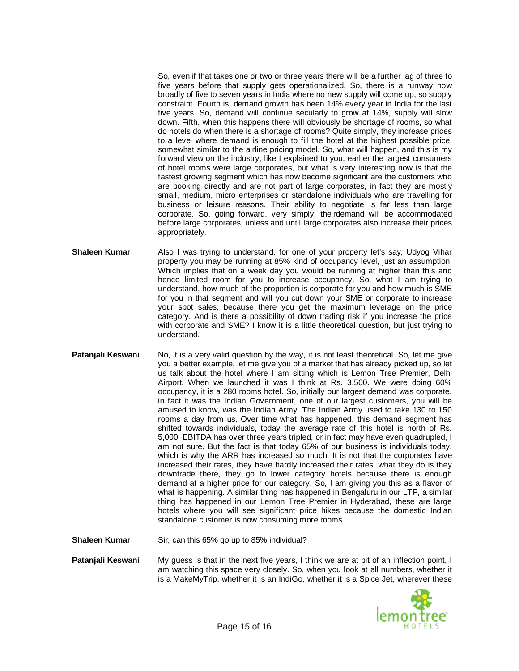So, even if that takes one or two or three years there will be a further lag of three to five years before that supply gets operationalized. So, there is a runway now broadly of five to seven years in India where no new supply will come up, so supply constraint. Fourth is, demand growth has been 14% every year in India for the last five years. So, demand will continue secularly to grow at 14%, supply will slow down. Fifth, when this happens there will obviously be shortage of rooms, so what do hotels do when there is a shortage of rooms? Quite simply, they increase prices to a level where demand is enough to fill the hotel at the highest possible price, somewhat similar to the airline pricing model. So, what will happen, and this is my forward view on the industry, like I explained to you, earlier the largest consumers of hotel rooms were large corporates, but what is very interesting now is that the fastest growing segment which has now become significant are the customers who are booking directly and are not part of large corporates, in fact they are mostly small, medium, micro enterprises or standalone individuals who are travelling for business or leisure reasons. Their ability to negotiate is far less than large corporate. So, going forward, very simply, theirdemand will be accommodated before large corporates, unless and until large corporates also increase their prices appropriately.

- **Shaleen Kumar** Also I was trying to understand, for one of your property let's say, Udyog Vihar property you may be running at 85% kind of occupancy level, just an assumption. Which implies that on a week day you would be running at higher than this and hence limited room for you to increase occupancy. So, what I am trying to understand, how much of the proportion is corporate for you and how much is SME for you in that segment and will you cut down your SME or corporate to increase your spot sales, because there you get the maximum leverage on the price category. And is there a possibility of down trading risk if you increase the price with corporate and SME? I know it is a little theoretical question, but just trying to understand.
- **Patanjali Keswani** No, it is a very valid question by the way, it is not least theoretical. So, let me give you a better example, let me give you of a market that has already picked up, so let us talk about the hotel where I am sitting which is Lemon Tree Premier, Delhi Airport. When we launched it was I think at Rs. 3,500. We were doing 60% occupancy, it is a 280 rooms hotel. So, initially our largest demand was corporate, in fact it was the Indian Government, one of our largest customers, you will be amused to know, was the Indian Army. The Indian Army used to take 130 to 150 rooms a day from us. Over time what has happened, this demand segment has shifted towards individuals, today the average rate of this hotel is north of Rs. 5,000, EBITDA has over three years tripled, or in fact may have even quadrupled, I am not sure. But the fact is that today 65% of our business is individuals today, which is why the ARR has increased so much. It is not that the corporates have increased their rates, they have hardly increased their rates, what they do is they downtrade there, they go to lower category hotels because there is enough demand at a higher price for our category. So, I am giving you this as a flavor of what is happening. A similar thing has happened in Bengaluru in our LTP, a similar thing has happened in our Lemon Tree Premier in Hyderabad, these are large hotels where you will see significant price hikes because the domestic Indian standalone customer is now consuming more rooms.

**Shaleen Kumar** Sir, can this 65% go up to 85% individual?

**Patanjali Keswani** My guess is that in the next five years, I think we are at bit of an inflection point, I am watching this space very closely. So, when you look at all numbers, whether it is a MakeMyTrip, whether it is an IndiGo, whether it is a Spice Jet, wherever these